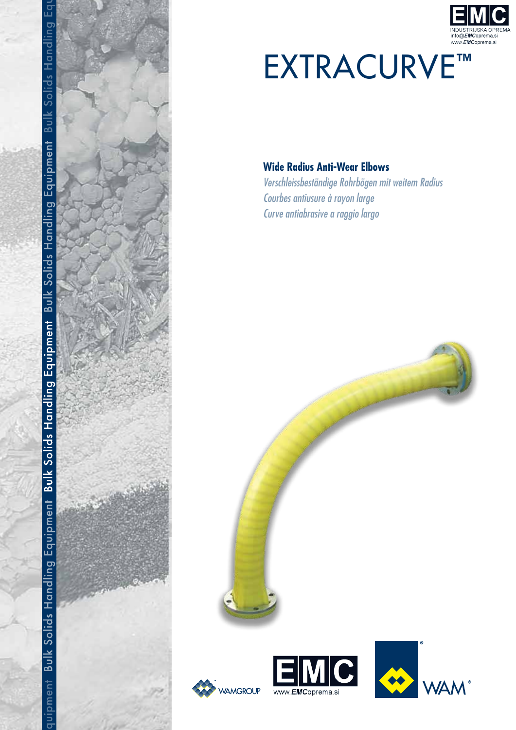



# **EXTRACURVE™**

# **Wide Radius Anti-Wear Elbows**

Verschleissbeständige Rohrbögen mit weitem Radius Courbes antiusure à rayon large Curve antiabrasive a raggio largo